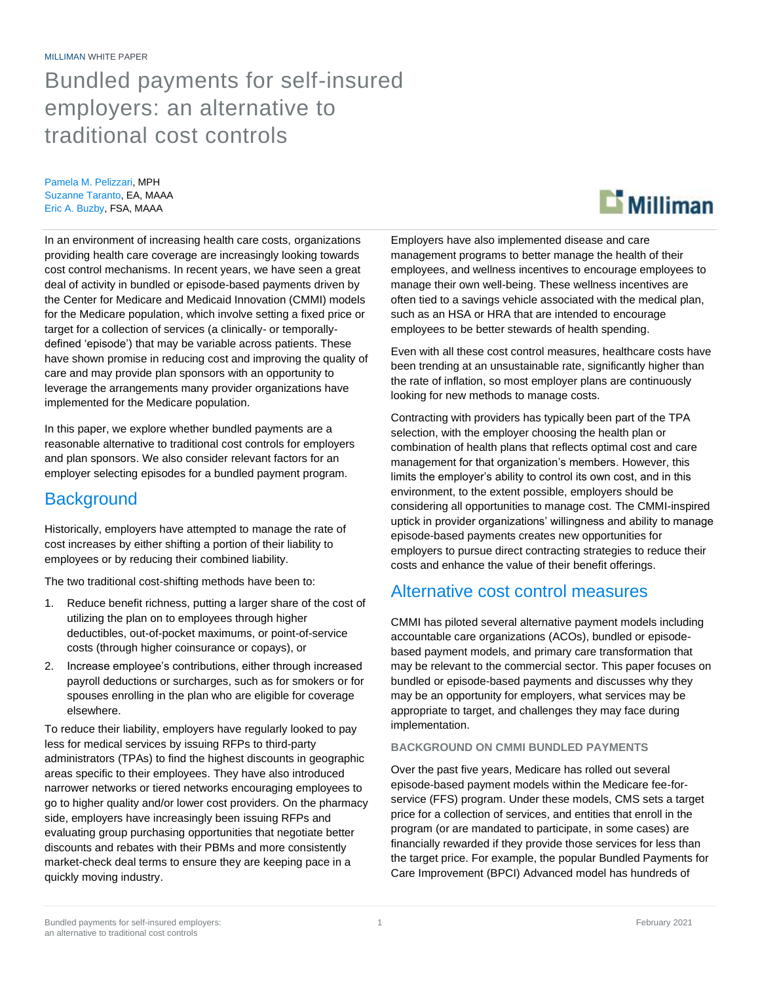# Bundled payments for self-insured employers: an alternative to traditional cost controls

Pamela M. Pelizzari, MPH Suzanne Taranto, EA, MAAA Eric A. Buzby, FSA, MAAA

In an environment of increasing health care costs, organizations providing health care coverage are increasingly looking towards cost control mechanisms. In recent years, we have seen a great deal of activity in bundled or episode-based payments driven by the Center for Medicare and Medicaid Innovation (CMMI) models for the Medicare population, which involve setting a fixed price or target for a collection of services (a clinically- or temporallydefined 'episode') that may be variable across patients. These have shown promise in reducing cost and improving the quality of care and may provide plan sponsors with an opportunity to leverage the arrangements many provider organizations have implemented for the Medicare population.

In this paper, we explore whether bundled payments are a reasonable alternative to traditional cost controls for employers and plan sponsors. We also consider relevant factors for an employer selecting episodes for a bundled payment program.

## **Background**

Historically, employers have attempted to manage the rate of cost increases by either shifting a portion of their liability to employees or by reducing their combined liability.

The two traditional cost-shifting methods have been to:

- 1. Reduce benefit richness, putting a larger share of the cost of utilizing the plan on to employees through higher deductibles, out-of-pocket maximums, or point-of-service costs (through higher coinsurance or copays), or
- 2. Increase employee's contributions, either through increased payroll deductions or surcharges, such as for smokers or for spouses enrolling in the plan who are eligible for coverage elsewhere.

To reduce their liability, employers have regularly looked to pay less for medical services by issuing RFPs to third-party administrators (TPAs) to find the highest discounts in geographic areas specific to their employees. They have also introduced narrower networks or tiered networks encouraging employees to go to higher quality and/or lower cost providers. On the pharmacy side, employers have increasingly been issuing RFPs and evaluating group purchasing opportunities that negotiate better discounts and rebates with their PBMs and more consistently market-check deal terms to ensure they are keeping pace in a quickly moving industry.



Employers have also implemented disease and care management programs to better manage the health of their employees, and wellness incentives to encourage employees to manage their own well-being. These wellness incentives are often tied to a savings vehicle associated with the medical plan, such as an HSA or HRA that are intended to encourage employees to be better stewards of health spending.

Even with all these cost control measures, healthcare costs have been trending at an unsustainable rate, significantly higher than the rate of inflation, so most employer plans are continuously looking for new methods to manage costs.

Contracting with providers has typically been part of the TPA selection, with the employer choosing the health plan or combination of health plans that reflects optimal cost and care management for that organization's members. However, this limits the employer's ability to control its own cost, and in this environment, to the extent possible, employers should be considering all opportunities to manage cost. The CMMI-inspired uptick in provider organizations' willingness and ability to manage episode-based payments creates new opportunities for employers to pursue direct contracting strategies to reduce their costs and enhance the value of their benefit offerings.

## Alternative cost control measures

CMMI has piloted several alternative payment models including accountable care organizations (ACOs), bundled or episodebased payment models, and primary care transformation that may be relevant to the commercial sector. This paper focuses on bundled or episode-based payments and discusses why they may be an opportunity for employers, what services may be appropriate to target, and challenges they may face during implementation.

### **BACKGROUND ON CMMI BUNDLED PAYMENTS**

Over the past five years, Medicare has rolled out several episode-based payment models within the Medicare fee-forservice (FFS) program. Under these models, CMS sets a target price for a collection of services, and entities that enroll in the program (or are mandated to participate, in some cases) are financially rewarded if they provide those services for less than the target price. For example, the popular Bundled Payments for Care Improvement (BPCI) Advanced model has hundreds of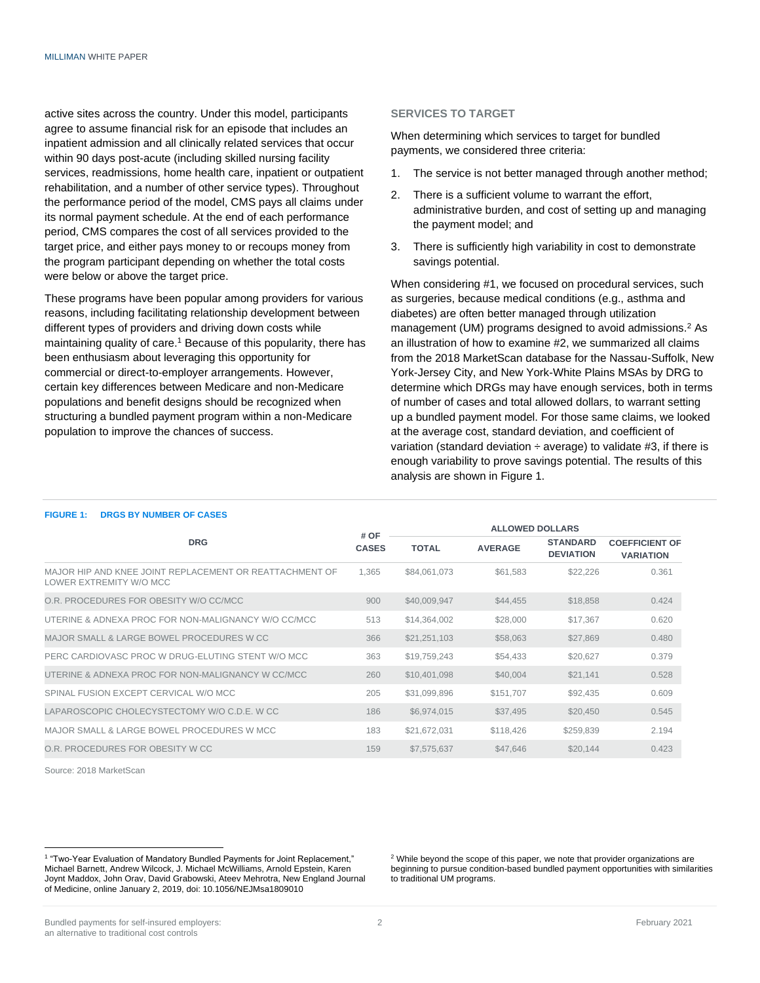active sites across the country. Under this model, participants agree to assume financial risk for an episode that includes an inpatient admission and all clinically related services that occur within 90 days post-acute (including skilled nursing facility services, readmissions, home health care, inpatient or outpatient rehabilitation, and a number of other service types). Throughout the performance period of the model, CMS pays all claims under its normal payment schedule. At the end of each performance period, CMS compares the cost of all services provided to the target price, and either pays money to or recoups money from the program participant depending on whether the total costs were below or above the target price.

These programs have been popular among providers for various reasons, including facilitating relationship development between different types of providers and driving down costs while maintaining quality of care.<sup>1</sup> Because of this popularity, there has been enthusiasm about leveraging this opportunity for commercial or direct-to-employer arrangements. However, certain key differences between Medicare and non-Medicare populations and benefit designs should be recognized when structuring a bundled payment program within a non-Medicare population to improve the chances of success.

#### **SERVICES TO TARGET**

When determining which services to target for bundled payments, we considered three criteria:

- 1. The service is not better managed through another method;
- 2. There is a sufficient volume to warrant the effort, administrative burden, and cost of setting up and managing the payment model; and
- 3. There is sufficiently high variability in cost to demonstrate savings potential.

When considering #1, we focused on procedural services, such as surgeries, because medical conditions (e.g., asthma and diabetes) are often better managed through utilization management (UM) programs designed to avoid admissions.<sup>2</sup> As an illustration of how to examine #2, we summarized all claims from the 2018 MarketScan database for the Nassau-Suffolk, New York-Jersey City, and New York-White Plains MSAs by DRG to determine which DRGs may have enough services, both in terms of number of cases and total allowed dollars, to warrant setting up a bundled payment model. For those same claims, we looked at the average cost, standard deviation, and coefficient of variation (standard deviation  $\div$  average) to validate #3, if there is enough variability to prove savings potential. The results of this analysis are shown in Figure 1.

| <b>DRG</b>                                                                         |                      | <b>ALLOWED DOLLARS</b> |                |                                     |                                           |
|------------------------------------------------------------------------------------|----------------------|------------------------|----------------|-------------------------------------|-------------------------------------------|
|                                                                                    | # OF<br><b>CASES</b> | <b>TOTAL</b>           | <b>AVERAGE</b> | <b>STANDARD</b><br><b>DEVIATION</b> | <b>COEFFICIENT OF</b><br><b>VARIATION</b> |
| MAJOR HIP AND KNEE JOINT REPLACEMENT OR REATTACHMENT OF<br>LOWER EXTREMITY W/O MCC | 1.365                | \$84,061,073           | \$61,583       | \$22,226                            | 0.361                                     |
| O.R. PROCEDURES FOR OBESITY W/O CC/MCC                                             | 900                  | \$40,009,947           | \$44,455       | \$18,858                            | 0.424                                     |
| UTERINE & ADNEXA PROC FOR NON-MALIGNANCY W/O CC/MCC                                | 513                  | \$14,364,002           | \$28,000       | \$17,367                            | 0.620                                     |
| MAJOR SMALL & LARGE BOWEL PROCEDURES W CC                                          | 366                  | \$21,251,103           | \$58,063       | \$27,869                            | 0.480                                     |
| PERC CARDIOVASC PROC W DRUG-ELUTING STENT W/O MCC                                  | 363                  | \$19,759,243           | \$54,433       | \$20,627                            | 0.379                                     |
| UTERINE & ADNEXA PROC FOR NON-MALIGNANCY W CC/MCC                                  | 260                  | \$10,401,098           | \$40,004       | \$21,141                            | 0.528                                     |
| SPINAL FUSION EXCEPT CERVICAL W/O MCC                                              | 205                  | \$31,099,896           | \$151,707      | \$92,435                            | 0.609                                     |
| LAPAROSCOPIC CHOLECYSTECTOMY W/O C.D.E. W CC                                       | 186                  | \$6,974,015            | \$37,495       | \$20,450                            | 0.545                                     |
| MAJOR SMALL & LARGE BOWEL PROCEDURES W MCC                                         | 183                  | \$21,672,031           | \$118.426      | \$259.839                           | 2.194                                     |
| O.R. PROCEDURES FOR OBESITY W CC.                                                  | 159                  | \$7,575,637            | \$47,646       | \$20.144                            | 0.423                                     |
|                                                                                    |                      |                        |                |                                     |                                           |

#### **FIGURE 1: DRGS BY NUMBER OF CASES**

Source: 2018 MarketScan

<sup>2</sup> While beyond the scope of this paper, we note that provider organizations are beginning to pursue condition-based bundled payment opportunities with similarities to traditional UM programs.

<sup>&</sup>lt;sup>1</sup> "Two-Year Evaluation of Mandatory Bundled Payments for Joint Replacement," Michael Barnett, Andrew Wilcock, J. Michael McWilliams, Arnold Epstein, Karen Joynt Maddox, John Orav, David Grabowski, Ateev Mehrotra, New England Journal of Medicine, online January 2, 2019, doi: 10.1056/NEJMsa1809010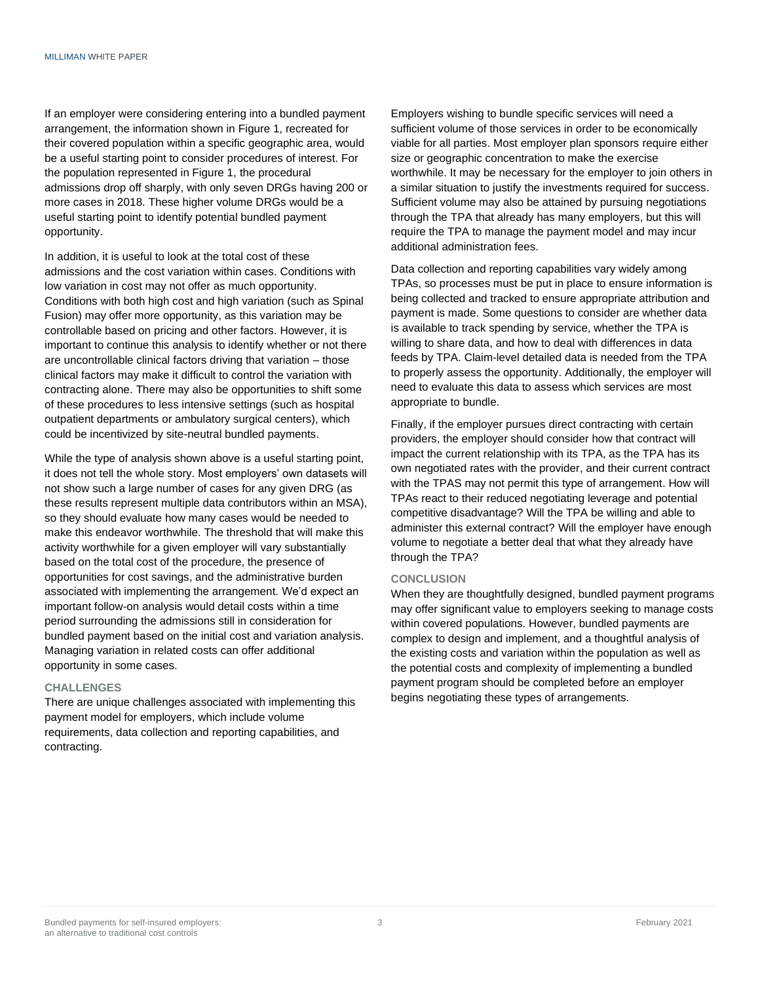If an employer were considering entering into a bundled payment arrangement, the information shown in Figure 1, recreated for their covered population within a specific geographic area, would be a useful starting point to consider procedures of interest. For the population represented in Figure 1, the procedural admissions drop off sharply, with only seven DRGs having 200 or more cases in 2018. These higher volume DRGs would be a useful starting point to identify potential bundled payment opportunity.

In addition, it is useful to look at the total cost of these admissions and the cost variation within cases. Conditions with low variation in cost may not offer as much opportunity. Conditions with both high cost and high variation (such as Spinal Fusion) may offer more opportunity, as this variation may be controllable based on pricing and other factors. However, it is important to continue this analysis to identify whether or not there are uncontrollable clinical factors driving that variation – those clinical factors may make it difficult to control the variation with contracting alone. There may also be opportunities to shift some of these procedures to less intensive settings (such as hospital outpatient departments or ambulatory surgical centers), which could be incentivized by site-neutral bundled payments.

While the type of analysis shown above is a useful starting point, it does not tell the whole story. Most employers' own datasets will not show such a large number of cases for any given DRG (as these results represent multiple data contributors within an MSA), so they should evaluate how many cases would be needed to make this endeavor worthwhile. The threshold that will make this activity worthwhile for a given employer will vary substantially based on the total cost of the procedure, the presence of opportunities for cost savings, and the administrative burden associated with implementing the arrangement. We'd expect an important follow-on analysis would detail costs within a time period surrounding the admissions still in consideration for bundled payment based on the initial cost and variation analysis. Managing variation in related costs can offer additional opportunity in some cases.

#### **CHALLENGES**

There are unique challenges associated with implementing this payment model for employers, which include volume requirements, data collection and reporting capabilities, and contracting.

Employers wishing to bundle specific services will need a sufficient volume of those services in order to be economically viable for all parties. Most employer plan sponsors require either size or geographic concentration to make the exercise worthwhile. It may be necessary for the employer to join others in a similar situation to justify the investments required for success. Sufficient volume may also be attained by pursuing negotiations through the TPA that already has many employers, but this will require the TPA to manage the payment model and may incur additional administration fees.

Data collection and reporting capabilities vary widely among TPAs, so processes must be put in place to ensure information is being collected and tracked to ensure appropriate attribution and payment is made. Some questions to consider are whether data is available to track spending by service, whether the TPA is willing to share data, and how to deal with differences in data feeds by TPA. Claim-level detailed data is needed from the TPA to properly assess the opportunity. Additionally, the employer will need to evaluate this data to assess which services are most appropriate to bundle.

Finally, if the employer pursues direct contracting with certain providers, the employer should consider how that contract will impact the current relationship with its TPA, as the TPA has its own negotiated rates with the provider, and their current contract with the TPAS may not permit this type of arrangement. How will TPAs react to their reduced negotiating leverage and potential competitive disadvantage? Will the TPA be willing and able to administer this external contract? Will the employer have enough volume to negotiate a better deal that what they already have through the TPA?

#### **CONCLUSION**

When they are thoughtfully designed, bundled payment programs may offer significant value to employers seeking to manage costs within covered populations. However, bundled payments are complex to design and implement, and a thoughtful analysis of the existing costs and variation within the population as well as the potential costs and complexity of implementing a bundled payment program should be completed before an employer begins negotiating these types of arrangements.